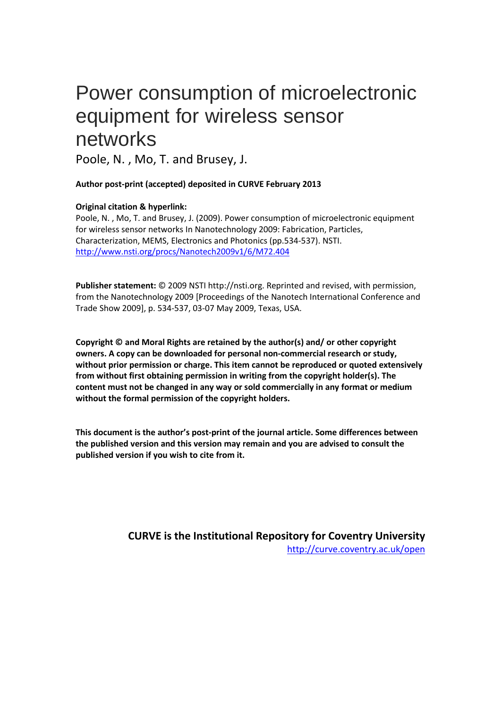# Power consumption of microelectronic equipment for wireless sensor networks

Poole, N. , Mo, T. and Brusey, J.

**Author post-print (accepted) deposited in CURVE February 2013**

## **Original citation & hyperlink:**

Poole, N. , Mo, T. and Brusey, J. (2009). Power consumption of microelectronic equipment for wireless sensor networks In Nanotechnology 2009: Fabrication, Particles, Characterization, MEMS, Electronics and Photonics (pp.534-537). NSTI. <http://www.nsti.org/procs/Nanotech2009v1/6/M72.404>

**Publisher statement:** © 2009 NSTI http://nsti.org. Reprinted and revised, with permission, from the Nanotechnology 2009 [Proceedings of the Nanotech International Conference and Trade Show 2009], p. 534-537, 03-07 May 2009, Texas, USA.

**Copyright © and Moral Rights are retained by the author(s) and/ or other copyright owners. A copy can be downloaded for personal non-commercial research or study, without prior permission or charge. This item cannot be reproduced or quoted extensively from without first obtaining permission in writing from the copyright holder(s). The content must not be changed in any way or sold commercially in any format or medium without the formal permission of the copyright holders.** 

**This document is the author's post-print of the journal article. Some differences between the published version and this version may remain and you are advised to consult the published version if you wish to cite from it.** 

> **CURVE is the Institutional Repository for Coventry University** <http://curve.coventry.ac.uk/open>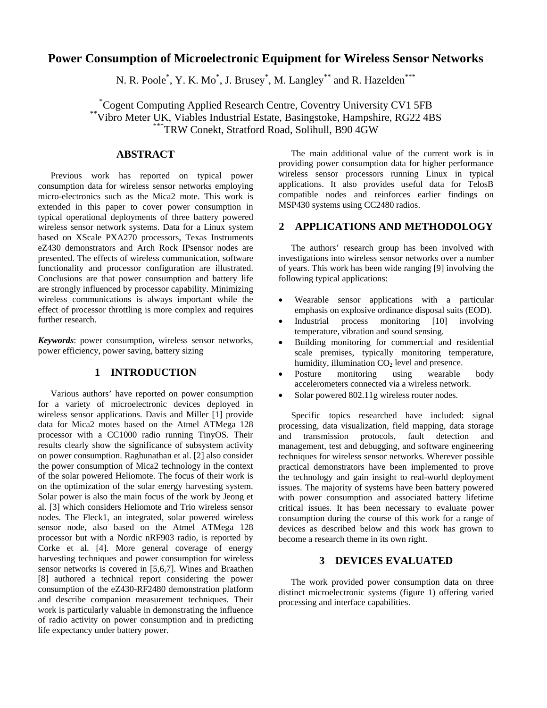## **Power Consumption of Microelectronic Equipment for Wireless Sensor Networks**

N. R. Poole<sup>\*</sup>, Y. K. Mo<sup>\*</sup>, J. Brusey<sup>\*</sup>, M. Langley<sup>\*\*</sup> and R. Hazelden<sup>\*\*\*</sup>

Cogent Computing Applied Research Centre, Coventry University CV1 5FB <sup>\*\*</sup>Vibro Meter UK, Viables Industrial Estate, Basingstoke, Hampshire, RG22 4BS  $*$ \*\*\*TRW Conekt, Stratford Road, Solihull, B90 4GW

## **ABSTRACT**

Previous work has reported on typical power consumption data for wireless sensor networks employing micro-electronics such as the Mica2 mote. This work is extended in this paper to cover power consumption in typical operational deployments of three battery powered wireless sensor network systems. Data for a Linux system based on XScale PXA270 processors, Texas Instruments eZ430 demonstrators and Arch Rock IPsensor nodes are presented. The effects of wireless communication, software functionality and processor configuration are illustrated. Conclusions are that power consumption and battery life are strongly influenced by processor capability. Minimizing wireless communications is always important while the effect of processor throttling is more complex and requires further research.

*Keywords*: power consumption, wireless sensor networks, power efficiency, power saving, battery sizing

#### **1 INTRODUCTION**

Various authors' have reported on power consumption for a variety of microelectronic devices deployed in wireless sensor applications. Davis and Miller [1] provide data for Mica2 motes based on the Atmel ATMega 128 processor with a CC1000 radio running TinyOS. Their results clearly show the significance of subsystem activity on power consumption. Raghunathan et al. [2] also consider the power consumption of Mica2 technology in the context of the solar powered Heliomote. The focus of their work is on the optimization of the solar energy harvesting system. Solar power is also the main focus of the work by Jeong et al. [3] which considers Heliomote and Trio wireless sensor nodes. The Fleck1, an integrated, solar powered wireless sensor node, also based on the Atmel ATMega 128 processor but with a Nordic nRF903 radio, is reported by Corke et al. [4]. More general coverage of energy harvesting techniques and power consumption for wireless sensor networks is covered in [5,6,7]. Wines and Braathen [8] authored a technical report considering the power consumption of the eZ430-RF2480 demonstration platform and describe companion measurement techniques. Their work is particularly valuable in demonstrating the influence of radio activity on power consumption and in predicting life expectancy under battery power.

The main additional value of the current work is in providing power consumption data for higher performance wireless sensor processors running Linux in typical applications. It also provides useful data for TelosB compatible nodes and reinforces earlier findings on MSP430 systems using CC2480 radios.

#### **2 APPLICATIONS AND METHODOLOGY**

The authors' research group has been involved with investigations into wireless sensor networks over a number of years. This work has been wide ranging [9] involving the following typical applications:

- Wearable sensor applications with a particular emphasis on explosive ordinance disposal suits (EOD).
- Industrial process monitoring [10] involving temperature, vibration and sound sensing.
- Building monitoring for commercial and residential scale premises, typically monitoring temperature, humidity, illumination  $CO<sub>2</sub>$  level and presence.
- Posture monitoring using wearable body accelerometers connected via a wireless network.
- Solar powered 802.11g wireless router nodes.

Specific topics researched have included: signal processing, data visualization, field mapping, data storage and transmission protocols, fault detection and management, test and debugging, and software engineering techniques for wireless sensor networks. Wherever possible practical demonstrators have been implemented to prove the technology and gain insight to real-world deployment issues. The majority of systems have been battery powered with power consumption and associated battery lifetime critical issues. It has been necessary to evaluate power consumption during the course of this work for a range of devices as described below and this work has grown to become a research theme in its own right.

## **3 DEVICES EVALUATED**

The work provided power consumption data on three distinct microelectronic systems (figure 1) offering varied processing and interface capabilities.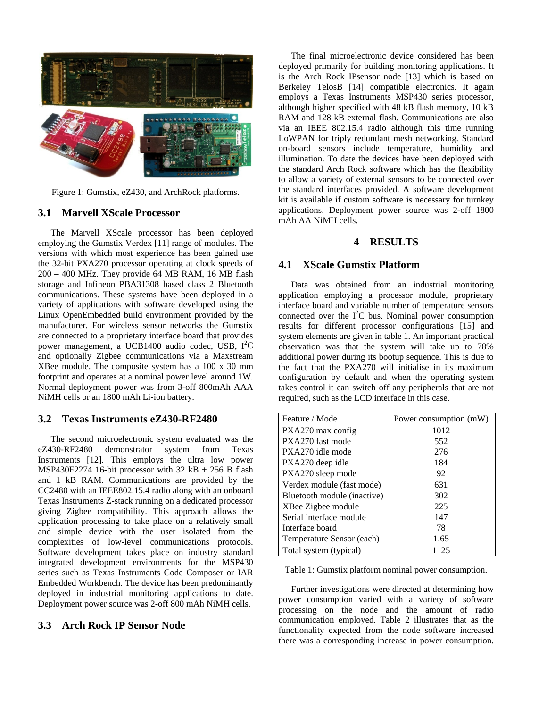

Figure 1: Gumstix, eZ430, and ArchRock platforms.

### **3.1 Marvell XScale Processor**

The Marvell XScale processor has been deployed employing the Gumstix Verdex [11] range of modules. The versions with which most experience has been gained use the 32-bit PXA270 processor operating at clock speeds of 200 – 400 MHz. They provide 64 MB RAM, 16 MB flash storage and Infineon PBA31308 based class 2 Bluetooth communications. These systems have been deployed in a variety of applications with software developed using the Linux OpenEmbedded build environment provided by the manufacturer. For wireless sensor networks the Gumstix are connected to a proprietary interface board that provides power management, a UCB1400 audio codec, USB, I<sup>2</sup>C and optionally Zigbee communications via a Maxstream XBee module. The composite system has a 100 x 30 mm footprint and operates at a nominal power level around 1W. Normal deployment power was from 3-off 800mAh AAA NiMH cells or an 1800 mAh Li-ion battery.

#### **3.2 Texas Instruments eZ430-RF2480**

The second microelectronic system evaluated was the eZ430-RF2480 demonstrator system from Texas Instruments [12]. This employs the ultra low power MSP430F2274 16-bit processor with  $32$  kB + 256 B flash and 1 kB RAM. Communications are provided by the CC2480 with an IEEE802.15.4 radio along with an onboard Texas Instruments Z-stack running on a dedicated processor giving Zigbee compatibility. This approach allows the application processing to take place on a relatively small and simple device with the user isolated from the complexities of low-level communications protocols. Software development takes place on industry standard integrated development environments for the MSP430 series such as Texas Instruments Code Composer or IAR Embedded Workbench. The device has been predominantly deployed in industrial monitoring applications to date. Deployment power source was 2-off 800 mAh NiMH cells.

## **3.3 Arch Rock IP Sensor Node**

The final microelectronic device considered has been deployed primarily for building monitoring applications. It is the Arch Rock IPsensor node [13] which is based on Berkeley TelosB [14] compatible electronics. It again employs a Texas Instruments MSP430 series processor, although higher specified with 48 kB flash memory, 10 kB RAM and 128 kB external flash. Communications are also via an IEEE 802.15.4 radio although this time running LoWPAN for triply redundant mesh networking. Standard on-board sensors include temperature, humidity and illumination. To date the devices have been deployed with the standard Arch Rock software which has the flexibility to allow a variety of external sensors to be connected over the standard interfaces provided. A software development kit is available if custom software is necessary for turnkey applications. Deployment power source was 2-off 1800 mAh AA NiMH cells.

### **4 RESULTS**

### **4.1 XScale Gumstix Platform**

Data was obtained from an industrial monitoring application employing a processor module, proprietary interface board and variable number of temperature sensors connected over the  $I<sup>2</sup>C$  bus. Nominal power consumption results for different processor configurations [15] and system elements are given in table 1. An important practical observation was that the system will take up to 78% additional power during its bootup sequence. This is due to the fact that the PXA270 will initialise in its maximum configuration by default and when the operating system takes control it can switch off any peripherals that are not required, such as the LCD interface in this case.

| Feature / Mode              | Power consumption (mW) |
|-----------------------------|------------------------|
| PXA270 max config           | 1012                   |
| PXA270 fast mode            | 552                    |
| PXA270 idle mode            | 276                    |
| PXA270 deep idle            | 184                    |
| PXA270 sleep mode           | 92                     |
| Verdex module (fast mode)   | 631                    |
| Bluetooth module (inactive) | 302                    |
| XBee Zigbee module          | 225                    |
| Serial interface module     | 147                    |
| Interface board             | 78                     |
| Temperature Sensor (each)   | 1.65                   |
| Total system (typical)      | 1125                   |

Table 1: Gumstix platform nominal power consumption.

Further investigations were directed at determining how power consumption varied with a variety of software processing on the node and the amount of radio communication employed. Table 2 illustrates that as the functionality expected from the node software increased there was a corresponding increase in power consumption.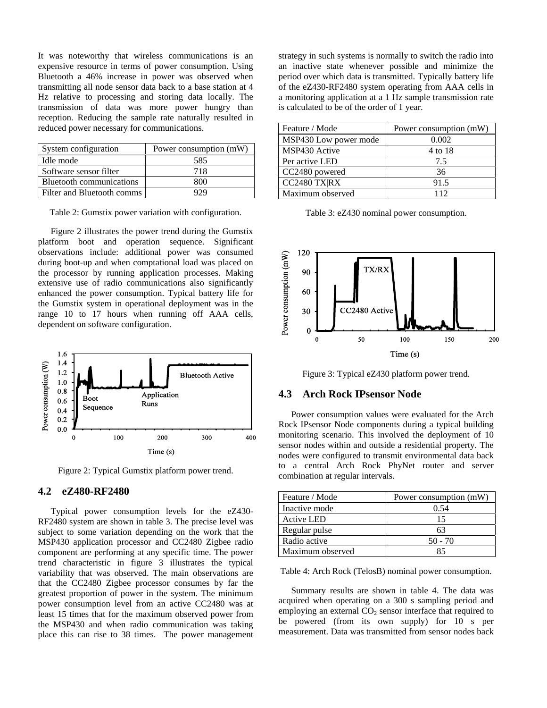It was noteworthy that wireless communications is an expensive resource in terms of power consumption. Using Bluetooth a 46% increase in power was observed when transmitting all node sensor data back to a base station at 4 Hz relative to processing and storing data locally. The transmission of data was more power hungry than reception. Reducing the sample rate naturally resulted in reduced power necessary for communications.

| System configuration       | Power consumption (mW) |
|----------------------------|------------------------|
| Idle mode                  | 585                    |
| Software sensor filter     | 718                    |
| Bluetooth communications   | 800                    |
| Filter and Bluetooth comms | 929                    |

Table 2: Gumstix power variation with configuration.

Figure 2 illustrates the power trend during the Gumstix platform boot and operation sequence. Significant observations include: additional power was consumed during boot-up and when comptational load was placed on the processor by running application processes. Making extensive use of radio communications also significantly enhanced the power consumption. Typical battery life for the Gumstix system in operational deployment was in the range 10 to 17 hours when running off AAA cells, dependent on software configuration.



Figure 2: Typical Gumstix platform power trend.

### **4.2 eZ480-RF2480**

Typical power consumption levels for the eZ430- RF2480 system are shown in table 3. The precise level was subject to some variation depending on the work that the MSP430 application processor and CC2480 Zigbee radio component are performing at any specific time. The power trend characteristic in figure 3 illustrates the typical variability that was observed. The main observations are that the CC2480 Zigbee processor consumes by far the greatest proportion of power in the system. The minimum power consumption level from an active CC2480 was at least 15 times that for the maximum observed power from the MSP430 and when radio communication was taking place this can rise to 38 times. The power management strategy in such systems is normally to switch the radio into an inactive state whenever possible and minimize the period over which data is transmitted. Typically battery life of the eZ430-RF2480 system operating from AAA cells in a monitoring application at a 1 Hz sample transmission rate is calculated to be of the order of 1 year.

| Feature / Mode        | Power consumption (mW) |
|-----------------------|------------------------|
| MSP430 Low power mode | 0.002                  |
| MSP430 Active         | 4 to 18                |
| Per active LED        | 7.5                    |
| CC2480 powered        | 36                     |
| CC2480 TX RX          | 91.5                   |
| Maximum observed      | 112                    |

Table 3: eZ430 nominal power consumption.



Figure 3: Typical eZ430 platform power trend.

### **4.3 Arch Rock IPsensor Node**

Power consumption values were evaluated for the Arch Rock IPsensor Node components during a typical building monitoring scenario. This involved the deployment of 10 sensor nodes within and outside a residential property. The nodes were configured to transmit environmental data back to a central Arch Rock PhyNet router and server combination at regular intervals.

| Feature / Mode    | Power consumption (mW) |
|-------------------|------------------------|
| Inactive mode     | 0.54                   |
| <b>Active LED</b> | 15                     |
| Regular pulse     | 63                     |
| Radio active      | $50 - 70$              |
| Maximum observed  |                        |

Table 4: Arch Rock (TelosB) nominal power consumption.

Summary results are shown in table 4. The data was acquired when operating on a 300 s sampling period and employing an external  $CO<sub>2</sub>$  sensor interface that required to be powered (from its own supply) for 10 s per measurement. Data was transmitted from sensor nodes back